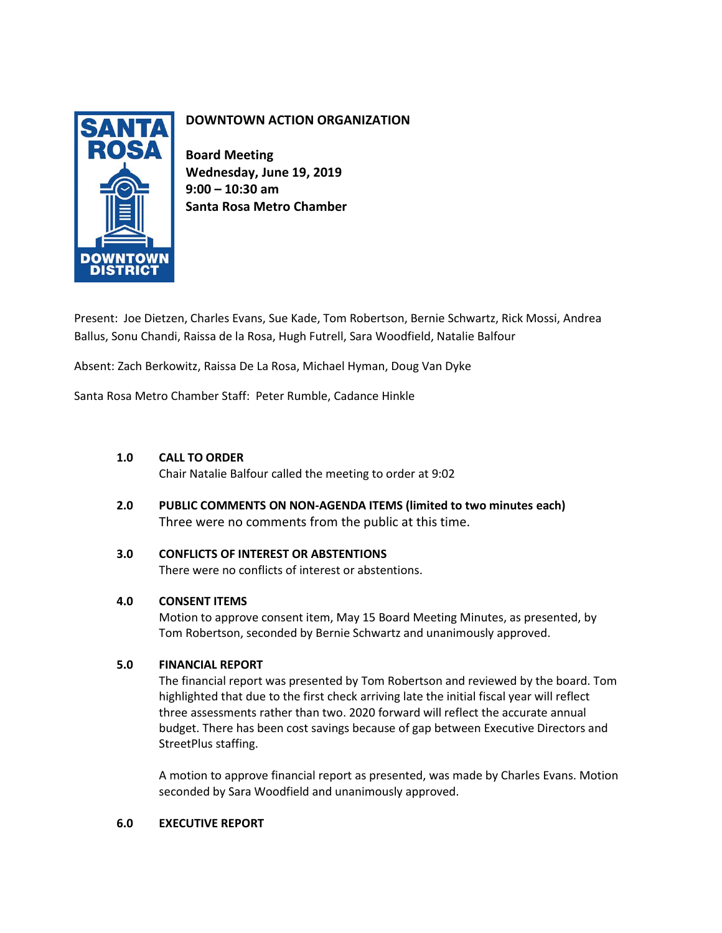

# **DOWNTOWN ACTION ORGANIZATION**

**Board Meeting Wednesday, June 19, 2019 9:00 – 10:30 am Santa Rosa Metro Chamber**

Present: Joe Dietzen, Charles Evans, Sue Kade, Tom Robertson, Bernie Schwartz, Rick Mossi, Andrea Ballus, Sonu Chandi, Raissa de la Rosa, Hugh Futrell, Sara Woodfield, Natalie Balfour

Absent: Zach Berkowitz, Raissa De La Rosa, Michael Hyman, Doug Van Dyke

Santa Rosa Metro Chamber Staff: Peter Rumble, Cadance Hinkle

# **1.0 CALL TO ORDER**

Chair Natalie Balfour called the meeting to order at 9:02

**2.0 PUBLIC COMMENTS ON NON-AGENDA ITEMS (limited to two minutes each)** Three were no comments from the public at this time.

# **3.0 CONFLICTS OF INTEREST OR ABSTENTIONS**

There were no conflicts of interest or abstentions.

# **4.0 CONSENT ITEMS**

Motion to approve consent item, May 15 Board Meeting Minutes, as presented, by Tom Robertson, seconded by Bernie Schwartz and unanimously approved.

# **5.0 FINANCIAL REPORT**

The financial report was presented by Tom Robertson and reviewed by the board. Tom highlighted that due to the first check arriving late the initial fiscal year will reflect three assessments rather than two. 2020 forward will reflect the accurate annual budget. There has been cost savings because of gap between Executive Directors and StreetPlus staffing.

A motion to approve financial report as presented, was made by Charles Evans. Motion seconded by Sara Woodfield and unanimously approved.

## **6.0 EXECUTIVE REPORT**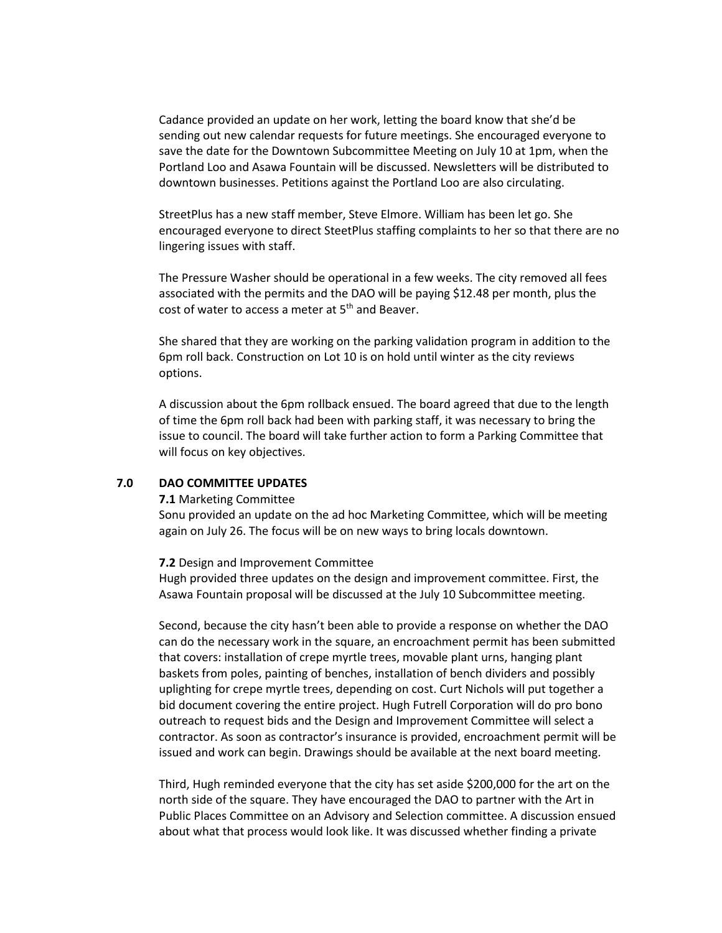Cadance provided an update on her work, letting the board know that she'd be sending out new calendar requests for future meetings. She encouraged everyone to save the date for the Downtown Subcommittee Meeting on July 10 at 1pm, when the Portland Loo and Asawa Fountain will be discussed. Newsletters will be distributed to downtown businesses. Petitions against the Portland Loo are also circulating.

StreetPlus has a new staff member, Steve Elmore. William has been let go. She encouraged everyone to direct SteetPlus staffing complaints to her so that there are no lingering issues with staff.

The Pressure Washer should be operational in a few weeks. The city removed all fees associated with the permits and the DAO will be paying \$12.48 per month, plus the cost of water to access a meter at  $5<sup>th</sup>$  and Beaver.

She shared that they are working on the parking validation program in addition to the 6pm roll back. Construction on Lot 10 is on hold until winter as the city reviews options.

A discussion about the 6pm rollback ensued. The board agreed that due to the length of time the 6pm roll back had been with parking staff, it was necessary to bring the issue to council. The board will take further action to form a Parking Committee that will focus on key objectives.

#### **7.0 DAO COMMITTEE UPDATES**

#### **7.1** Marketing Committee

Sonu provided an update on the ad hoc Marketing Committee, which will be meeting again on July 26. The focus will be on new ways to bring locals downtown.

#### **7.2** Design and Improvement Committee

Hugh provided three updates on the design and improvement committee. First, the Asawa Fountain proposal will be discussed at the July 10 Subcommittee meeting.

Second, because the city hasn't been able to provide a response on whether the DAO can do the necessary work in the square, an encroachment permit has been submitted that covers: installation of crepe myrtle trees, movable plant urns, hanging plant baskets from poles, painting of benches, installation of bench dividers and possibly uplighting for crepe myrtle trees, depending on cost. Curt Nichols will put together a bid document covering the entire project. Hugh Futrell Corporation will do pro bono outreach to request bids and the Design and Improvement Committee will select a contractor. As soon as contractor's insurance is provided, encroachment permit will be issued and work can begin. Drawings should be available at the next board meeting.

Third, Hugh reminded everyone that the city has set aside \$200,000 for the art on the north side of the square. They have encouraged the DAO to partner with the Art in Public Places Committee on an Advisory and Selection committee. A discussion ensued about what that process would look like. It was discussed whether finding a private